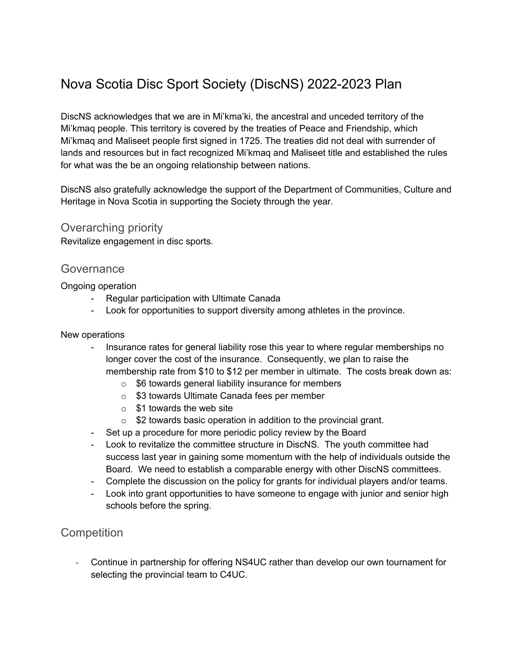# Nova Scotia Disc Sport Society (DiscNS) 2022-2023 Plan

DiscNS acknowledges that we are in Mi'kma'ki, the ancestral and unceded territory of the Mi'kmaq people. This territory is covered by the treaties of Peace and Friendship, which Mi'kmaq and Maliseet people first signed in 1725. The treaties did not deal with surrender of lands and resources but in fact recognized Mi'kmaq and Maliseet title and established the rules for what was the be an ongoing relationship between nations.

DiscNS also gratefully acknowledge the support of the Department of Communities, Culture and Heritage in Nova Scotia in supporting the Society through the year.

#### Overarching priority

Revitalize engagement in disc sports.

#### **Governance**

Ongoing operation

- Regular participation with Ultimate Canada
- Look for opportunities to support diversity among athletes in the province.

#### New operations

- Insurance rates for general liability rose this year to where regular memberships no longer cover the cost of the insurance. Consequently, we plan to raise the membership rate from \$10 to \$12 per member in ultimate. The costs break down as:
	- o \$6 towards general liability insurance for members
	- o \$3 towards Ultimate Canada fees per member
	- $\circ$  \$1 towards the web site
	- $\circ$  \$2 towards basic operation in addition to the provincial grant.
- Set up a procedure for more periodic policy review by the Board
- Look to revitalize the committee structure in DiscNS. The youth committee had success last year in gaining some momentum with the help of individuals outside the Board. We need to establish a comparable energy with other DiscNS committees.
- Complete the discussion on the policy for grants for individual players and/or teams.
- Look into grant opportunities to have someone to engage with junior and senior high schools before the spring.

### **Competition**

- Continue in partnership for offering NS4UC rather than develop our own tournament for selecting the provincial team to C4UC.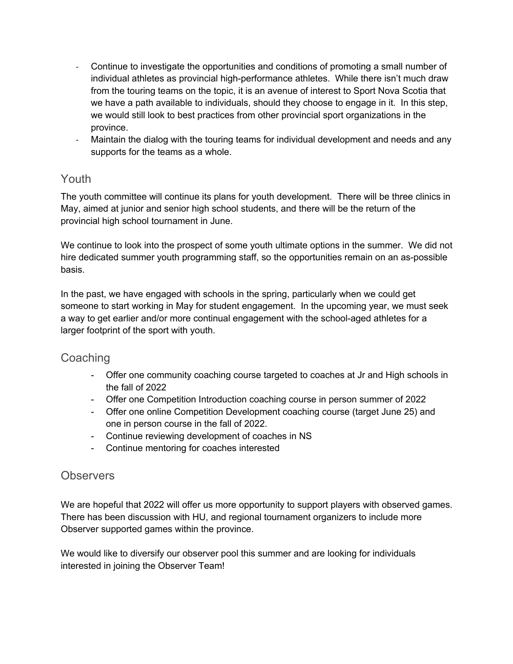- Continue to investigate the opportunities and conditions of promoting a small number of individual athletes as provincial high-performance athletes. While there isn't much draw from the touring teams on the topic, it is an avenue of interest to Sport Nova Scotia that we have a path available to individuals, should they choose to engage in it. In this step, we would still look to best practices from other provincial sport organizations in the province.
- Maintain the dialog with the touring teams for individual development and needs and any supports for the teams as a whole.

## Youth

The youth committee will continue its plans for youth development. There will be three clinics in May, aimed at junior and senior high school students, and there will be the return of the provincial high school tournament in June.

We continue to look into the prospect of some youth ultimate options in the summer. We did not hire dedicated summer youth programming staff, so the opportunities remain on an as-possible basis.

In the past, we have engaged with schools in the spring, particularly when we could get someone to start working in May for student engagement. In the upcoming year, we must seek a way to get earlier and/or more continual engagement with the school-aged athletes for a larger footprint of the sport with youth.

## **Coaching**

- Offer one community coaching course targeted to coaches at Jr and High schools in the fall of 2022
- Offer one Competition Introduction coaching course in person summer of 2022
- Offer one online Competition Development coaching course (target June 25) and one in person course in the fall of 2022.
- Continue reviewing development of coaches in NS
- Continue mentoring for coaches interested

## **Observers**

We are hopeful that 2022 will offer us more opportunity to support players with observed games. There has been discussion with HU, and regional tournament organizers to include more Observer supported games within the province.

We would like to diversify our observer pool this summer and are looking for individuals interested in joining the Observer Team!